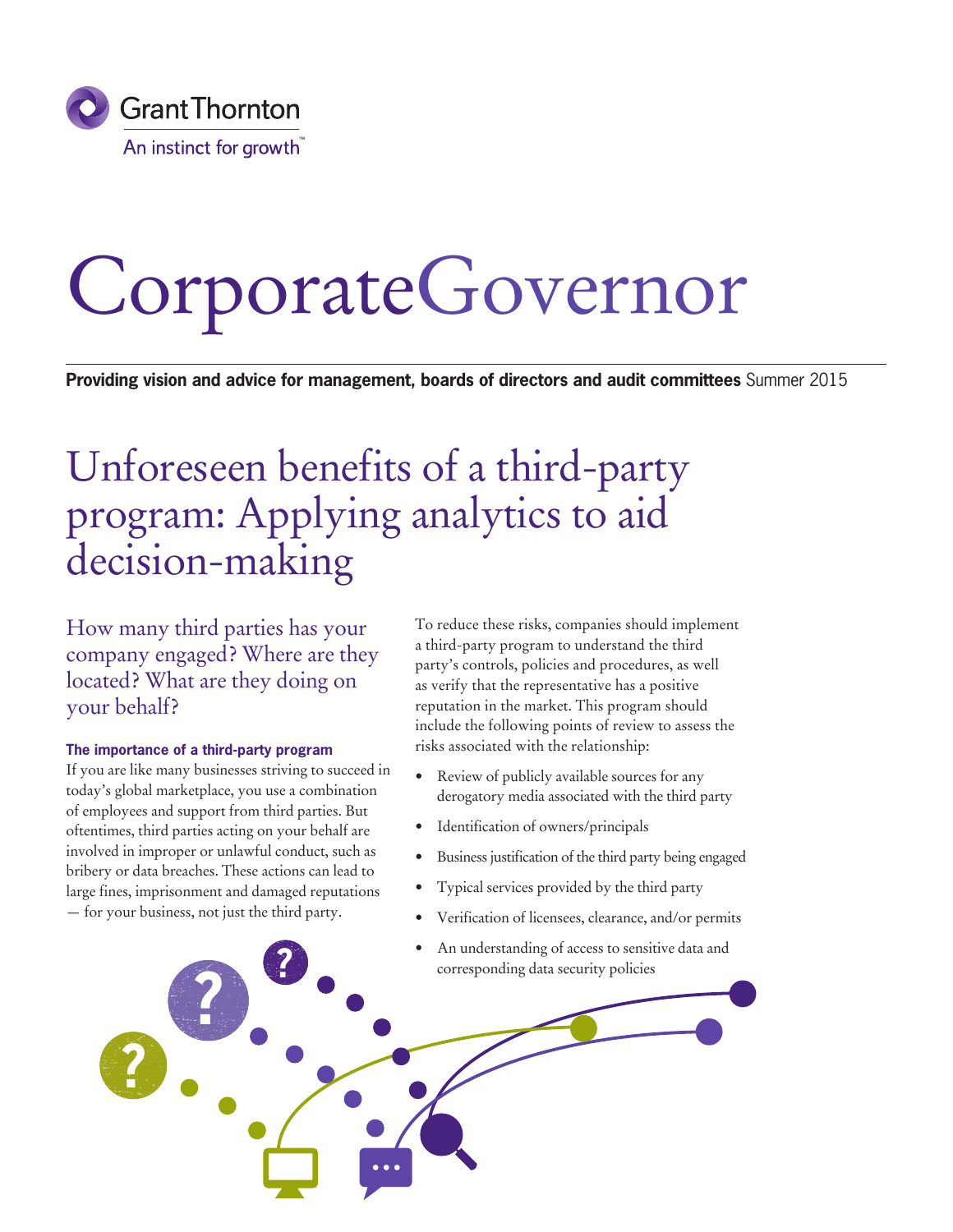

# CorporateGovernor

**Providing vision and advice for management, boards of directors and audit committees** Summer 2015

# Unforeseen benefits of a third-party program: Applying analytics to aid decision-making

How many third parties has your company engaged? Where are they located? What are they doing on your behalf?

#### **The importance of a third-party program**

If you are like many businesses striving to succeed in today's global marketplace, you use a combination of employees and support from third parties. But oftentimes, third parties acting on your behalf are involved in improper or unlawful conduct, such as bribery or data breaches. These actions can lead to large fines, imprisonment and damaged reputations — for your business, not just the third party.

To reduce these risks, companies should implement a third-party program to understand the third party's controls, policies and procedures, as well as verify that the representative has a positive reputation in the market. This program should include the following points of review to assess the risks associated with the relationship:

- Review of publicly available sources for any derogatory media associated with the third party
- Identification of owners/principals
- Business justification of the third party being engaged
- Typical services provided by the third party
- Verification of licensees, clearance, and/or permits
- An understanding of access to sensitive data and corresponding data security policies

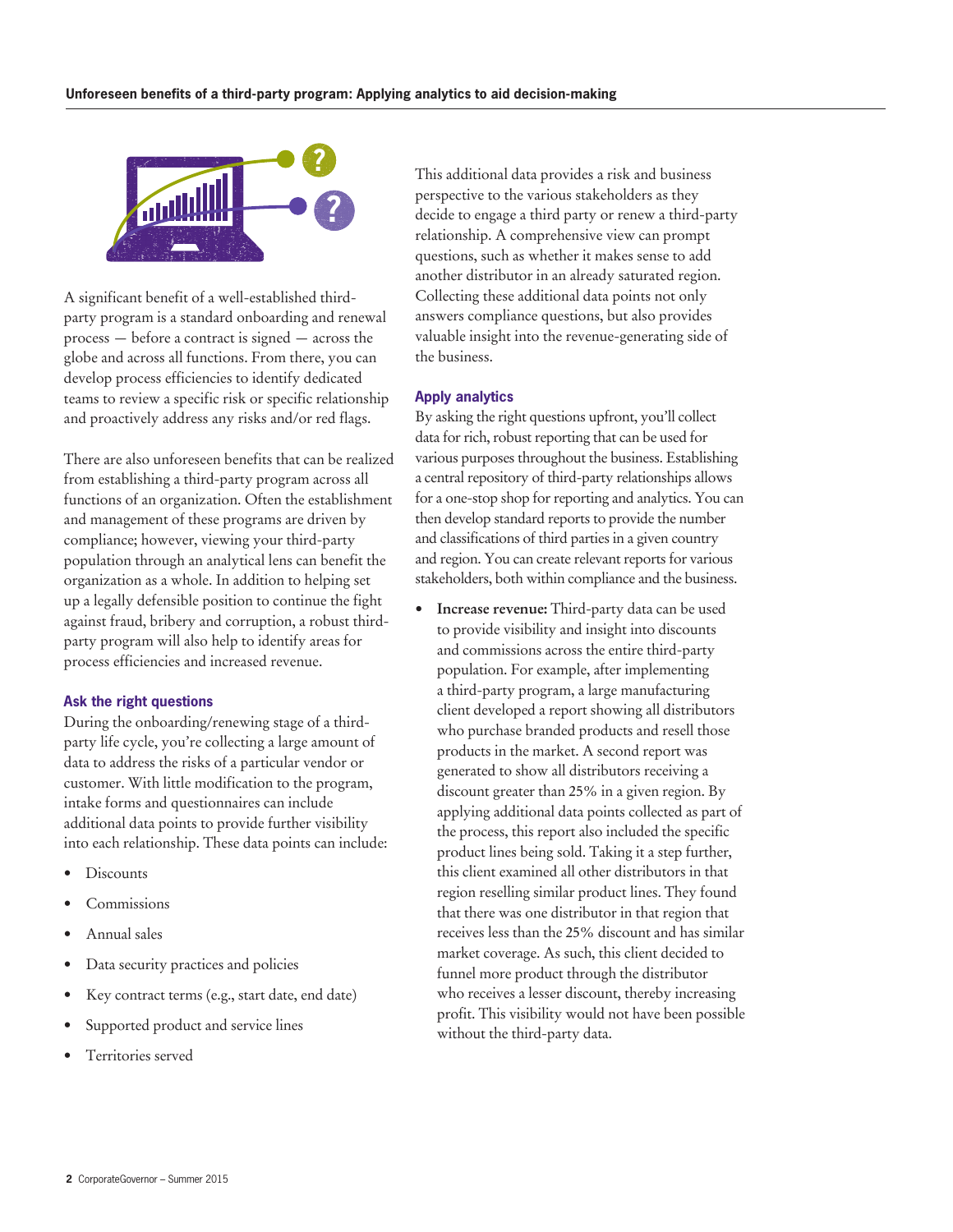

A significant benefit of a well-established thirdparty program is a standard onboarding and renewal process — before a contract is signed — across the globe and across all functions. From there, you can develop process efficiencies to identify dedicated teams to review a specific risk or specific relationship and proactively address any risks and/or red flags.

There are also unforeseen benefits that can be realized from establishing a third-party program across all functions of an organization. Often the establishment and management of these programs are driven by compliance; however, viewing your third-party population through an analytical lens can benefit the organization as a whole. In addition to helping set up a legally defensible position to continue the fight against fraud, bribery and corruption, a robust thirdparty program will also help to identify areas for process efficiencies and increased revenue.

#### **Ask the right questions**

During the onboarding/renewing stage of a thirdparty life cycle, you're collecting a large amount of data to address the risks of a particular vendor or customer. With little modification to the program, intake forms and questionnaires can include additional data points to provide further visibility into each relationship. These data points can include:

- Discounts
- Commissions
- Annual sales
- Data security practices and policies
- Key contract terms (e.g., start date, end date)
- Supported product and service lines
- Territories served

This additional data provides a risk and business perspective to the various stakeholders as they decide to engage a third party or renew a third-party relationship. A comprehensive view can prompt questions, such as whether it makes sense to add another distributor in an already saturated region. Collecting these additional data points not only answers compliance questions, but also provides valuable insight into the revenue-generating side of the business.

## **Apply analytics**

By asking the right questions upfront, you'll collect data for rich, robust reporting that can be used for various purposes throughout the business. Establishing a central repository of third-party relationships allows for a one-stop shop for reporting and analytics. You can then develop standard reports to provide the number and classifications of third parties in a given country and region. You can create relevant reports for various stakeholders, both within compliance and the business.

**• Increase revenue:** Third-party data can be used to provide visibility and insight into discounts and commissions across the entire third-party population. For example, after implementing a third-party program, a large manufacturing client developed a report showing all distributors who purchase branded products and resell those products in the market. A second report was generated to show all distributors receiving a discount greater than 25% in a given region. By applying additional data points collected as part of the process, this report also included the specific product lines being sold. Taking it a step further, this client examined all other distributors in that region reselling similar product lines. They found that there was one distributor in that region that receives less than the 25% discount and has similar market coverage. As such, this client decided to funnel more product through the distributor who receives a lesser discount, thereby increasing profit. This visibility would not have been possible without the third-party data.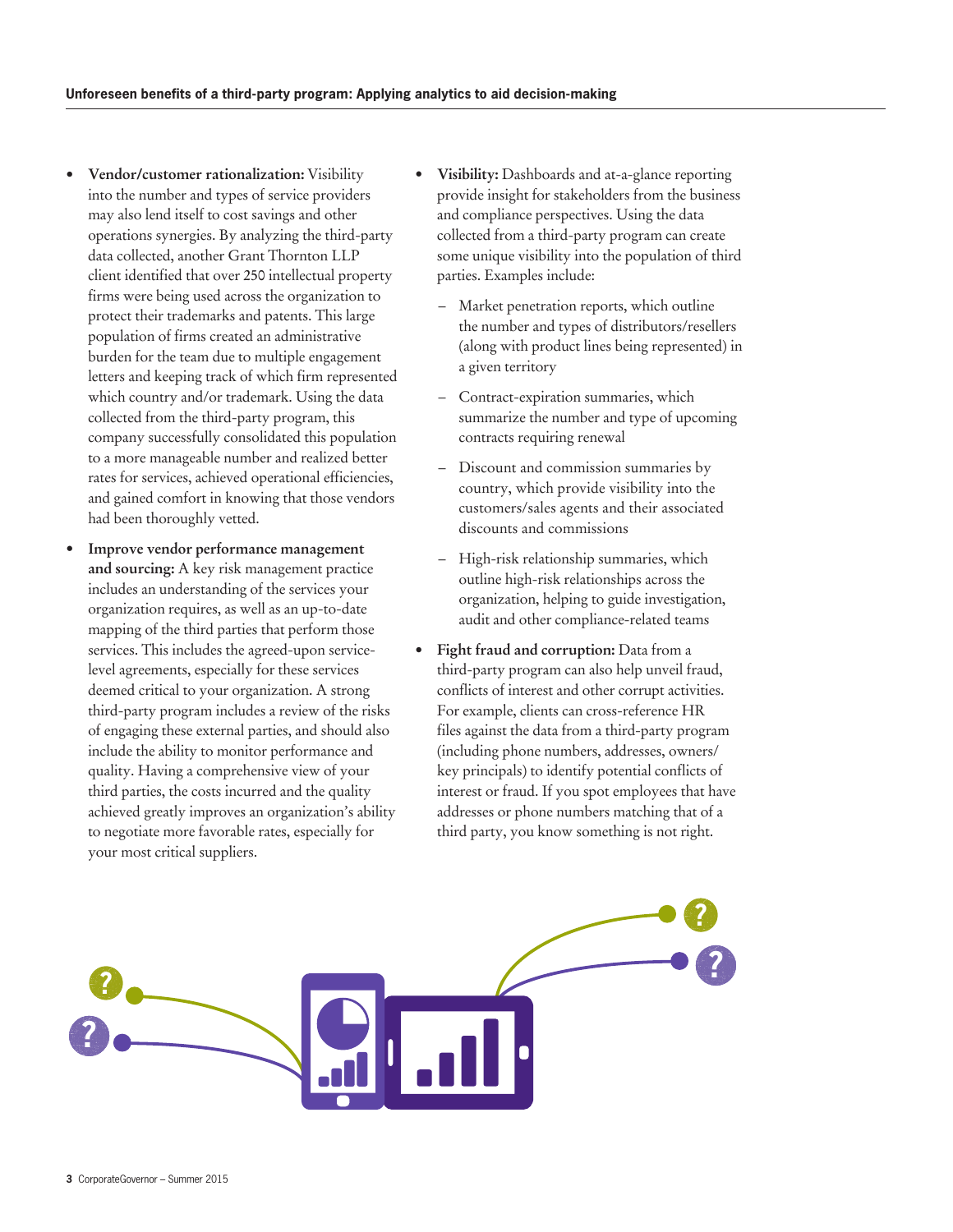- **• Vendor/customer rationalization:** Visibility into the number and types of service providers may also lend itself to cost savings and other operations synergies. By analyzing the third-party data collected, another Grant Thornton LLP client identified that over 250 intellectual property firms were being used across the organization to protect their trademarks and patents. This large population of firms created an administrative burden for the team due to multiple engagement letters and keeping track of which firm represented which country and/or trademark. Using the data collected from the third-party program, this company successfully consolidated this population to a more manageable number and realized better rates for services, achieved operational efficiencies, and gained comfort in knowing that those vendors had been thoroughly vetted.
- **Improve vendor performance management and sourcing:** A key risk management practice includes an understanding of the services your organization requires, as well as an up-to-date mapping of the third parties that perform those services. This includes the agreed-upon servicelevel agreements, especially for these services deemed critical to your organization. A strong third-party program includes a review of the risks of engaging these external parties, and should also include the ability to monitor performance and quality. Having a comprehensive view of your third parties, the costs incurred and the quality achieved greatly improves an organization's ability to negotiate more favorable rates, especially for your most critical suppliers.
- **Visibility:** Dashboards and at-a-glance reporting provide insight for stakeholders from the business and compliance perspectives. Using the data collected from a third-party program can create some unique visibility into the population of third parties. Examples include:
	- Market penetration reports, which outline the number and types of distributors/resellers (along with product lines being represented) in a given territory
	- Contract-expiration summaries, which summarize the number and type of upcoming contracts requiring renewal
	- Discount and commission summaries by country, which provide visibility into the customers/sales agents and their associated discounts and commissions
	- High-risk relationship summaries, which outline high-risk relationships across the organization, helping to guide investigation, audit and other compliance-related teams
- **• Fight fraud and corruption:** Data from a third-party program can also help unveil fraud, conflicts of interest and other corrupt activities. For example, clients can cross-reference HR files against the data from a third-party program (including phone numbers, addresses, owners/ key principals) to identify potential conflicts of interest or fraud. If you spot employees that have addresses or phone numbers matching that of a third party, you know something is not right.